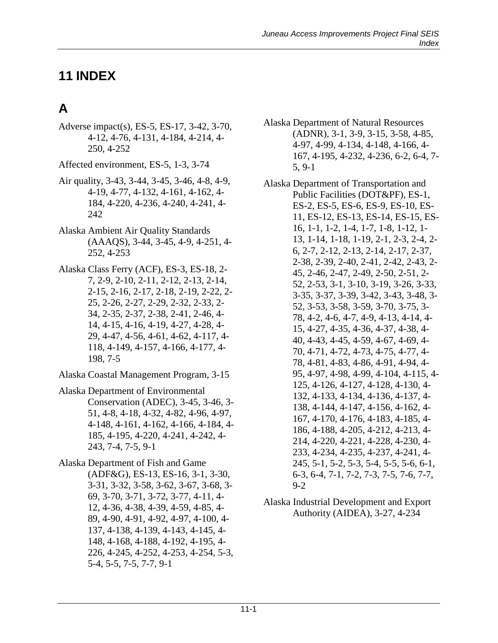### **11 INDEX**

# **A**

Adverse impact(s), ES-5, ES-17, 3-42, 3-70, 4-12, 4-76, 4-131, 4-184, 4-214, 4- 250, 4-252

Affected environment, ES-5, 1-3, 3-74

- Air quality, 3-43, 3-44, 3-45, 3-46, 4-8, 4-9, 4-19, 4-77, 4-132, 4-161, 4-162, 4- 184, 4-220, 4-236, 4-240, 4-241, 4- 242
- Alaska Ambient Air Quality Standards (AAAQS), 3-44, 3-45, 4-9, 4-251, 4- 252, 4-253
- Alaska Class Ferry (ACF), ES-3, ES-18, 2- 7, 2-9, 2-10, 2-11, 2-12, 2-13, 2-14, 2-15, 2-16, 2-17, 2-18, 2-19, 2-22, 2- 25, 2-26, 2-27, 2-29, 2-32, 2-33, 2- 34, 2-35, 2-37, 2-38, 2-41, 2-46, 4- 14, 4-15, 4-16, 4-19, 4-27, 4-28, 4- 29, 4-47, 4-56, 4-61, 4-62, 4-117, 4- 118, 4-149, 4-157, 4-166, 4-177, 4- 198, 7-5
- Alaska Coastal Management Program, 3-15
- Alaska Department of Environmental Conservation (ADEC), 3-45, 3-46, 3- 51, 4-8, 4-18, 4-32, 4-82, 4-96, 4-97, 4-148, 4-161, 4-162, 4-166, 4-184, 4- 185, 4-195, 4-220, 4-241, 4-242, 4- 243, 7-4, 7-5, 9-1

Alaska Department of Fish and Game (ADF&G), ES-13, ES-16, 3-1, 3-30, 3-31, 3-32, 3-58, 3-62, 3-67, 3-68, 3- 69, 3-70, 3-71, 3-72, 3-77, 4-11, 4- 12, 4-36, 4-38, 4-39, 4-59, 4-85, 4- 89, 4-90, 4-91, 4-92, 4-97, 4-100, 4- 137, 4-138, 4-139, 4-143, 4-145, 4- 148, 4-168, 4-188, 4-192, 4-195, 4- 226, 4-245, 4-252, 4-253, 4-254, 5-3, 5-4, 5-5, 7-5, 7-7, 9-1

Alaska Department of Natural Resources (ADNR), 3-1, 3-9, 3-15, 3-58, 4-85, 4-97, 4-99, 4-134, 4-148, 4-166, 4- 167, 4-195, 4-232, 4-236, 6-2, 6-4, 7- 5, 9-1

Alaska Department of Transportation and Public Facilities (DOT&PF), ES-1, ES-2, ES-5, ES-6, ES-9, ES-10, ES-11, ES-12, ES-13, ES-14, ES-15, ES-16, 1-1, 1-2, 1-4, 1-7, 1-8, 1-12, 1- 13, 1-14, 1-18, 1-19, 2-1, 2-3, 2-4, 2- 6, 2-7, 2-12, 2-13, 2-14, 2-17, 2-37, 2-38, 2-39, 2-40, 2-41, 2-42, 2-43, 2- 45, 2-46, 2-47, 2-49, 2-50, 2-51, 2- 52, 2-53, 3-1, 3-10, 3-19, 3-26, 3-33, 3-35, 3-37, 3-39, 3-42, 3-43, 3-48, 3- 52, 3-53, 3-58, 3-59, 3-70, 3-75, 3- 78, 4-2, 4-6, 4-7, 4-9, 4-13, 4-14, 4- 15, 4-27, 4-35, 4-36, 4-37, 4-38, 4- 40, 4-43, 4-45, 4-59, 4-67, 4-69, 4- 70, 4-71, 4-72, 4-73, 4-75, 4-77, 4- 78, 4-81, 4-83, 4-86, 4-91, 4-94, 4- 95, 4-97, 4-98, 4-99, 4-104, 4-115, 4- 125, 4-126, 4-127, 4-128, 4-130, 4- 132, 4-133, 4-134, 4-136, 4-137, 4- 138, 4-144, 4-147, 4-156, 4-162, 4- 167, 4-170, 4-176, 4-183, 4-185, 4- 186, 4-188, 4-205, 4-212, 4-213, 4- 214, 4-220, 4-221, 4-228, 4-230, 4- 233, 4-234, 4-235, 4-237, 4-241, 4- 245, 5-1, 5-2, 5-3, 5-4, 5-5, 5-6, 6-1, 6-3, 6-4, 7-1, 7-2, 7-3, 7-5, 7-6, 7-7, 9-2

Alaska Industrial Development and Export Authority (AIDEA), 3-27, 4-234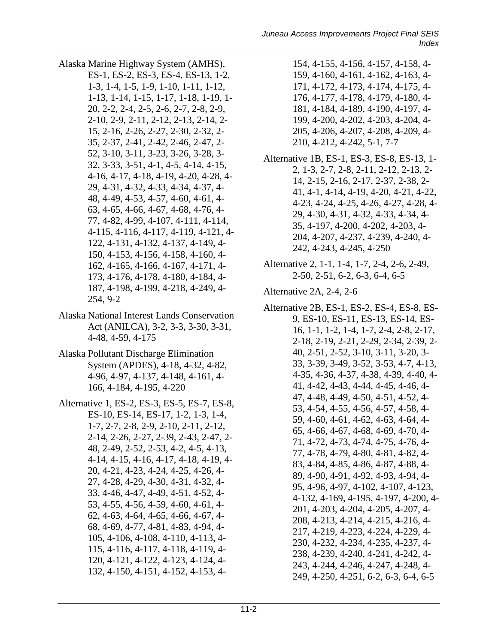- Alaska Marine Highway System (AMHS),
- ES-1, ES-2, ES-3, ES-4, ES-13, 1-2, 1-3, 1-4, 1-5, 1-9, 1-10, 1-11, 1-12, 1-13, 1-14, 1-15, 1-17, 1-18, 1-19, 1- 20, 2-2, 2-4, 2-5, 2-6, 2-7, 2-8, 2-9, 2-10, 2-9, 2-11, 2-12, 2-13, 2-14, 2- 15, 2-16, 2-26, 2-27, 2-30, 2-32, 2- 35, 2-37, 2-41, 2-42, 2-46, 2-47, 2- 52, 3-10, 3-11, 3-23, 3-26, 3-28, 3- 32, 3-33, 3-51, 4-1, 4-5, 4-14, 4-15, 4-16, 4-17, 4-18, 4-19, 4-20, 4-28, 4- 29, 4-31, 4-32, 4-33, 4-34, 4-37, 4- 48, 4-49, 4-53, 4-57, 4-60, 4-61, 4- 63, 4-65, 4-66, 4-67, 4-68, 4-76, 4- 77, 4-82, 4-99, 4-107, 4-111, 4-114, 4-115, 4-116, 4-117, 4-119, 4-121, 4- 122, 4-131, 4-132, 4-137, 4-149, 4- 150, 4-153, 4-156, 4-158, 4-160, 4- 162, 4-165, 4-166, 4-167, 4-171, 4- 173, 4-176, 4-178, 4-180, 4-184, 4- 187, 4-198, 4-199, 4-218, 4-249, 4- 254, 9-2
- Alaska National Interest Lands Conservation Act (ANILCA), 3-2, 3-3, 3-30, 3-31, 4-48, 4-59, 4-175
- Alaska Pollutant Discharge Elimination System (APDES), 4-18, 4-32, 4-82, 4-96, 4-97, 4-137, 4-148, 4-161, 4- 166, 4-184, 4-195, 4-220
- Alternative 1, ES-2, ES-3, ES-5, ES-7, ES-8, ES-10, ES-14, ES-17, 1-2, 1-3, 1-4, 1-7, 2-7, 2-8, 2-9, 2-10, 2-11, 2-12, 2-14, 2-26, 2-27, 2-39, 2-43, 2-47, 2- 48, 2-49, 2-52, 2-53, 4-2, 4-5, 4-13, 4-14, 4-15, 4-16, 4-17, 4-18, 4-19, 4- 20, 4-21, 4-23, 4-24, 4-25, 4-26, 4- 27, 4-28, 4-29, 4-30, 4-31, 4-32, 4- 33, 4-46, 4-47, 4-49, 4-51, 4-52, 4- 53, 4-55, 4-56, 4-59, 4-60, 4-61, 4- 62, 4-63, 4-64, 4-65, 4-66, 4-67, 4- 68, 4-69, 4-77, 4-81, 4-83, 4-94, 4- 105, 4-106, 4-108, 4-110, 4-113, 4- 115, 4-116, 4-117, 4-118, 4-119, 4- 120, 4-121, 4-122, 4-123, 4-124, 4- 132, 4-150, 4-151, 4-152, 4-153, 4-
- 154, 4-155, 4-156, 4-157, 4-158, 4- 159, 4-160, 4-161, 4-162, 4-163, 4- 171, 4-172, 4-173, 4-174, 4-175, 4- 176, 4-177, 4-178, 4-179, 4-180, 4- 181, 4-184, 4-189, 4-190, 4-197, 4- 199, 4-200, 4-202, 4-203, 4-204, 4- 205, 4-206, 4-207, 4-208, 4-209, 4- 210, 4-212, 4-242, 5-1, 7-7
- Alternative 1B, ES-1, ES-3, ES-8, ES-13, 1- 2, 1-3, 2-7, 2-8, 2-11, 2-12, 2-13, 2- 14, 2-15, 2-16, 2-17, 2-37, 2-38, 2- 41, 4-1, 4-14, 4-19, 4-20, 4-21, 4-22, 4-23, 4-24, 4-25, 4-26, 4-27, 4-28, 4- 29, 4-30, 4-31, 4-32, 4-33, 4-34, 4- 35, 4-197, 4-200, 4-202, 4-203, 4- 204, 4-207, 4-237, 4-239, 4-240, 4- 242, 4-243, 4-245, 4-250
- Alternative 2, 1-1, 1-4, 1-7, 2-4, 2-6, 2-49, 2-50, 2-51, 6-2, 6-3, 6-4, 6-5
- Alternative 2A, 2-4, 2-6
- Alternative 2B, ES-1, ES-2, ES-4, ES-8, ES-9, ES-10, ES-11, ES-13, ES-14, ES-16, 1-1, 1-2, 1-4, 1-7, 2-4, 2-8, 2-17, 2-18, 2-19, 2-21, 2-29, 2-34, 2-39, 2- 40, 2-51, 2-52, 3-10, 3-11, 3-20, 3- 33, 3-39, 3-49, 3-52, 3-53, 4-7, 4-13, 4-35, 4-36, 4-37, 4-38, 4-39, 4-40, 4- 41, 4-42, 4-43, 4-44, 4-45, 4-46, 4- 47, 4-48, 4-49, 4-50, 4-51, 4-52, 4- 53, 4-54, 4-55, 4-56, 4-57, 4-58, 4- 59, 4-60, 4-61, 4-62, 4-63, 4-64, 4- 65, 4-66, 4-67, 4-68, 4-69, 4-70, 4- 71, 4-72, 4-73, 4-74, 4-75, 4-76, 4- 77, 4-78, 4-79, 4-80, 4-81, 4-82, 4- 83, 4-84, 4-85, 4-86, 4-87, 4-88, 4- 89, 4-90, 4-91, 4-92, 4-93, 4-94, 4- 95, 4-96, 4-97, 4-102, 4-107, 4-123, 4-132, 4-169, 4-195, 4-197, 4-200, 4- 201, 4-203, 4-204, 4-205, 4-207, 4- 208, 4-213, 4-214, 4-215, 4-216, 4- 217, 4-219, 4-223, 4-224, 4-229, 4- 230, 4-232, 4-234, 4-235, 4-237, 4- 238, 4-239, 4-240, 4-241, 4-242, 4- 243, 4-244, 4-246, 4-247, 4-248, 4- 249, 4-250, 4-251, 6-2, 6-3, 6-4, 6-5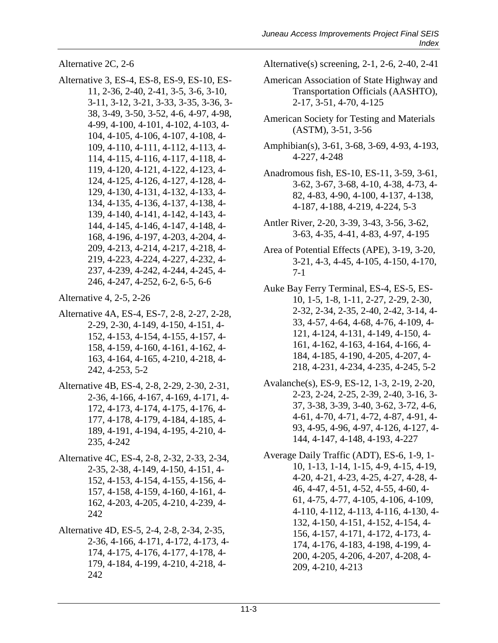Alternative 2C, 2-6

Alternative 3, ES-4, ES-8, ES-9, ES-10, ES-11, 2-36, 2-40, 2-41, 3-5, 3-6, 3-10, 3-11, 3-12, 3-21, 3-33, 3-35, 3-36, 3- 38, 3-49, 3-50, 3-52, 4-6, 4-97, 4-98, 4-99, 4-100, 4-101, 4-102, 4-103, 4- 104, 4-105, 4-106, 4-107, 4-108, 4- 109, 4-110, 4-111, 4-112, 4-113, 4- 114, 4-115, 4-116, 4-117, 4-118, 4- 119, 4-120, 4-121, 4-122, 4-123, 4- 124, 4-125, 4-126, 4-127, 4-128, 4- 129, 4-130, 4-131, 4-132, 4-133, 4- 134, 4-135, 4-136, 4-137, 4-138, 4- 139, 4-140, 4-141, 4-142, 4-143, 4- 144, 4-145, 4-146, 4-147, 4-148, 4- 168, 4-196, 4-197, 4-203, 4-204, 4- 209, 4-213, 4-214, 4-217, 4-218, 4- 219, 4-223, 4-224, 4-227, 4-232, 4- 237, 4-239, 4-242, 4-244, 4-245, 4- 246, 4-247, 4-252, 6-2, 6-5, 6-6

Alternative 4, 2-5, 2-26

- Alternative 4A, ES-4, ES-7, 2-8, 2-27, 2-28, 2-29, 2-30, 4-149, 4-150, 4-151, 4- 152, 4-153, 4-154, 4-155, 4-157, 4- 158, 4-159, 4-160, 4-161, 4-162, 4- 163, 4-164, 4-165, 4-210, 4-218, 4- 242, 4-253, 5-2
- Alternative 4B, ES-4, 2-8, 2-29, 2-30, 2-31, 2-36, 4-166, 4-167, 4-169, 4-171, 4- 172, 4-173, 4-174, 4-175, 4-176, 4- 177, 4-178, 4-179, 4-184, 4-185, 4- 189, 4-191, 4-194, 4-195, 4-210, 4- 235, 4-242
- Alternative 4C, ES-4, 2-8, 2-32, 2-33, 2-34, 2-35, 2-38, 4-149, 4-150, 4-151, 4- 152, 4-153, 4-154, 4-155, 4-156, 4- 157, 4-158, 4-159, 4-160, 4-161, 4- 162, 4-203, 4-205, 4-210, 4-239, 4- 242
- Alternative 4D, ES-5, 2-4, 2-8, 2-34, 2-35, 2-36, 4-166, 4-171, 4-172, 4-173, 4- 174, 4-175, 4-176, 4-177, 4-178, 4- 179, 4-184, 4-199, 4-210, 4-218, 4- 242

Alternative(s) screening, 2-1, 2-6, 2-40, 2-41

- American Association of State Highway and Transportation Officials (AASHTO), 2-17, 3-51, 4-70, 4-125
- American Society for Testing and Materials (ASTM), 3-51, 3-56
- Amphibian(s), 3-61, 3-68, 3-69, 4-93, 4-193, 4-227, 4-248
- Anadromous fish, ES-10, ES-11, 3-59, 3-61, 3-62, 3-67, 3-68, 4-10, 4-38, 4-73, 4- 82, 4-83, 4-90, 4-100, 4-137, 4-138, 4-187, 4-188, 4-219, 4-224, 5-3
- Antler River, 2-20, 3-39, 3-43, 3-56, 3-62, 3-63, 4-35, 4-41, 4-83, 4-97, 4-195
- Area of Potential Effects (APE), 3-19, 3-20, 3-21, 4-3, 4-45, 4-105, 4-150, 4-170, 7-1
- Auke Bay Ferry Terminal, ES-4, ES-5, ES-10, 1-5, 1-8, 1-11, 2-27, 2-29, 2-30, 2-32, 2-34, 2-35, 2-40, 2-42, 3-14, 4- 33, 4-57, 4-64, 4-68, 4-76, 4-109, 4- 121, 4-124, 4-131, 4-149, 4-150, 4- 161, 4-162, 4-163, 4-164, 4-166, 4- 184, 4-185, 4-190, 4-205, 4-207, 4- 218, 4-231, 4-234, 4-235, 4-245, 5-2
- Avalanche(s), ES-9, ES-12, 1-3, 2-19, 2-20, 2-23, 2-24, 2-25, 2-39, 2-40, 3-16, 3- 37, 3-38, 3-39, 3-40, 3-62, 3-72, 4-6, 4-61, 4-70, 4-71, 4-72, 4-87, 4-91, 4- 93, 4-95, 4-96, 4-97, 4-126, 4-127, 4- 144, 4-147, 4-148, 4-193, 4-227
- Average Daily Traffic (ADT), ES-6, 1-9, 1- 10, 1-13, 1-14, 1-15, 4-9, 4-15, 4-19, 4-20, 4-21, 4-23, 4-25, 4-27, 4-28, 4- 46, 4-47, 4-51, 4-52, 4-55, 4-60, 4- 61, 4-75, 4-77, 4-105, 4-106, 4-109, 4-110, 4-112, 4-113, 4-116, 4-130, 4- 132, 4-150, 4-151, 4-152, 4-154, 4- 156, 4-157, 4-171, 4-172, 4-173, 4- 174, 4-176, 4-183, 4-198, 4-199, 4- 200, 4-205, 4-206, 4-207, 4-208, 4- 209, 4-210, 4-213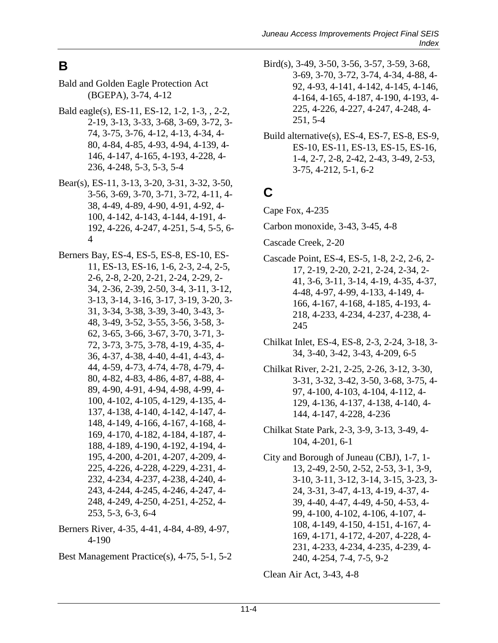# **B**

- Bald and Golden Eagle Protection Act (BGEPA), 3-74, 4-12
- Bald eagle(s), ES-11, ES-12, 1-2, 1-3, , 2-2, 2-19, 3-13, 3-33, 3-68, 3-69, 3-72, 3- 74, 3-75, 3-76, 4-12, 4-13, 4-34, 4- 80, 4-84, 4-85, 4-93, 4-94, 4-139, 4- 146, 4-147, 4-165, 4-193, 4-228, 4- 236, 4-248, 5-3, 5-3, 5-4
- Bear(s), ES-11, 3-13, 3-20, 3-31, 3-32, 3-50, 3-56, 3-69, 3-70, 3-71, 3-72, 4-11, 4- 38, 4-49, 4-89, 4-90, 4-91, 4-92, 4- 100, 4-142, 4-143, 4-144, 4-191, 4- 192, 4-226, 4-247, 4-251, 5-4, 5-5, 6- 4
- Berners Bay, ES-4, ES-5, ES-8, ES-10, ES-11, ES-13, ES-16, 1-6, 2-3, 2-4, 2-5, 2-6, 2-8, 2-20, 2-21, 2-24, 2-29, 2- 34, 2-36, 2-39, 2-50, 3-4, 3-11, 3-12, 3-13, 3-14, 3-16, 3-17, 3-19, 3-20, 3- 31, 3-34, 3-38, 3-39, 3-40, 3-43, 3- 48, 3-49, 3-52, 3-55, 3-56, 3-58, 3- 62, 3-65, 3-66, 3-67, 3-70, 3-71, 3- 72, 3-73, 3-75, 3-78, 4-19, 4-35, 4- 36, 4-37, 4-38, 4-40, 4-41, 4-43, 4- 44, 4-59, 4-73, 4-74, 4-78, 4-79, 4- 80, 4-82, 4-83, 4-86, 4-87, 4-88, 4- 89, 4-90, 4-91, 4-94, 4-98, 4-99, 4- 100, 4-102, 4-105, 4-129, 4-135, 4- 137, 4-138, 4-140, 4-142, 4-147, 4- 148, 4-149, 4-166, 4-167, 4-168, 4- 169, 4-170, 4-182, 4-184, 4-187, 4- 188, 4-189, 4-190, 4-192, 4-194, 4- 195, 4-200, 4-201, 4-207, 4-209, 4- 225, 4-226, 4-228, 4-229, 4-231, 4- 232, 4-234, 4-237, 4-238, 4-240, 4- 243, 4-244, 4-245, 4-246, 4-247, 4- 248, 4-249, 4-250, 4-251, 4-252, 4- 253, 5-3, 6-3, 6-4
- Berners River, 4-35, 4-41, 4-84, 4-89, 4-97, 4-190
- Best Management Practice(s), 4-75, 5-1, 5-2
- Bird(s), 3-49, 3-50, 3-56, 3-57, 3-59, 3-68, 3-69, 3-70, 3-72, 3-74, 4-34, 4-88, 4- 92, 4-93, 4-141, 4-142, 4-145, 4-146, 4-164, 4-165, 4-187, 4-190, 4-193, 4- 225, 4-226, 4-227, 4-247, 4-248, 4- 251, 5-4
- Build alternative(s), ES-4, ES-7, ES-8, ES-9, ES-10, ES-11, ES-13, ES-15, ES-16, 1-4, 2-7, 2-8, 2-42, 2-43, 3-49, 2-53, 3-75, 4-212, 5-1, 6-2

### **C**

Cape Fox, 4-235

- Carbon monoxide, 3-43, 3-45, 4-8
- Cascade Creek, 2-20
- Cascade Point, ES-4, ES-5, 1-8, 2-2, 2-6, 2- 17, 2-19, 2-20, 2-21, 2-24, 2-34, 2- 41, 3-6, 3-11, 3-14, 4-19, 4-35, 4-37, 4-48, 4-97, 4-99, 4-133, 4-149, 4- 166, 4-167, 4-168, 4-185, 4-193, 4- 218, 4-233, 4-234, 4-237, 4-238, 4- 245
- Chilkat Inlet, ES-4, ES-8, 2-3, 2-24, 3-18, 3- 34, 3-40, 3-42, 3-43, 4-209, 6-5
- Chilkat River, 2-21, 2-25, 2-26, 3-12, 3-30, 3-31, 3-32, 3-42, 3-50, 3-68, 3-75, 4- 97, 4-100, 4-103, 4-104, 4-112, 4- 129, 4-136, 4-137, 4-138, 4-140, 4- 144, 4-147, 4-228, 4-236
- Chilkat State Park, 2-3, 3-9, 3-13, 3-49, 4- 104, 4-201, 6-1
- City and Borough of Juneau (CBJ), 1-7, 1- 13, 2-49, 2-50, 2-52, 2-53, 3-1, 3-9, 3-10, 3-11, 3-12, 3-14, 3-15, 3-23, 3- 24, 3-31, 3-47, 4-13, 4-19, 4-37, 4- 39, 4-40, 4-47, 4-49, 4-50, 4-53, 4- 99, 4-100, 4-102, 4-106, 4-107, 4- 108, 4-149, 4-150, 4-151, 4-167, 4- 169, 4-171, 4-172, 4-207, 4-228, 4- 231, 4-233, 4-234, 4-235, 4-239, 4- 240, 4-254, 7-4, 7-5, 9-2

Clean Air Act, 3-43, 4-8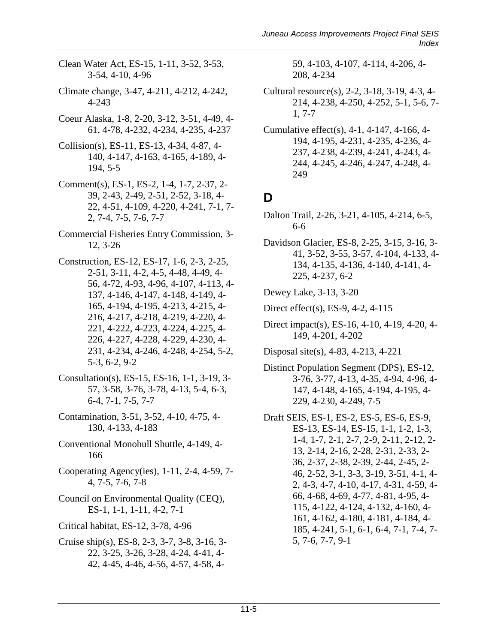- Clean Water Act, ES-15, 1-11, 3-52, 3-53, 3-54, 4-10, 4-96
- Climate change, 3-47, 4-211, 4-212, 4-242, 4-243
- Coeur Alaska, 1-8, 2-20, 3-12, 3-51, 4-49, 4- 61, 4-78, 4-232, 4-234, 4-235, 4-237
- Collision(s), ES-11, ES-13, 4-34, 4-87, 4- 140, 4-147, 4-163, 4-165, 4-189, 4- 194, 5-5
- Comment(s), ES-1, ES-2, 1-4, 1-7, 2-37, 2- 39, 2-43, 2-49, 2-51, 2-52, 3-18, 4- 22, 4-51, 4-109, 4-220, 4-241, 7-1, 7- 2, 7-4, 7-5, 7-6, 7-7
- Commercial Fisheries Entry Commission, 3- 12, 3-26
- Construction, ES-12, ES-17, 1-6, 2-3, 2-25, 2-51, 3-11, 4-2, 4-5, 4-48, 4-49, 4- 56, 4-72, 4-93, 4-96, 4-107, 4-113, 4- 137, 4-146, 4-147, 4-148, 4-149, 4- 165, 4-194, 4-195, 4-213, 4-215, 4- 216, 4-217, 4-218, 4-219, 4-220, 4- 221, 4-222, 4-223, 4-224, 4-225, 4- 226, 4-227, 4-228, 4-229, 4-230, 4- 231, 4-234, 4-246, 4-248, 4-254, 5-2, 5-3, 6-2, 9-2
- Consultation(s), ES-15, ES-16, 1-1, 3-19, 3- 57, 3-58, 3-76, 3-78, 4-13, 5-4, 6-3, 6-4, 7-1, 7-5, 7-7
- Contamination, 3-51, 3-52, 4-10, 4-75, 4- 130, 4-133, 4-183
- Conventional Monohull Shuttle, 4-149, 4- 166
- Cooperating Agency(ies), 1-11, 2-4, 4-59, 7- 4, 7-5, 7-6, 7-8
- Council on Environmental Quality (CEQ), ES-1, 1-1, 1-11, 4-2, 7-1
- Critical habitat, ES-12, 3-78, 4-96
- Cruise ship(s), ES-8, 2-3, 3-7, 3-8, 3-16, 3- 22, 3-25, 3-26, 3-28, 4-24, 4-41, 4- 42, 4-45, 4-46, 4-56, 4-57, 4-58, 4-

59, 4-103, 4-107, 4-114, 4-206, 4- 208, 4-234

- Cultural resource(s), 2-2, 3-18, 3-19, 4-3, 4- 214, 4-238, 4-250, 4-252, 5-1, 5-6, 7- 1, 7-7
- Cumulative effect(s), 4-1, 4-147, 4-166, 4- 194, 4-195, 4-231, 4-235, 4-236, 4- 237, 4-238, 4-239, 4-241, 4-243, 4- 244, 4-245, 4-246, 4-247, 4-248, 4- 249

#### **D**

- Dalton Trail, 2-26, 3-21, 4-105, 4-214, 6-5, 6-6
- Davidson Glacier, ES-8, 2-25, 3-15, 3-16, 3- 41, 3-52, 3-55, 3-57, 4-104, 4-133, 4- 134, 4-135, 4-136, 4-140, 4-141, 4- 225, 4-237, 6-2
- Dewey Lake, 3-13, 3-20
- Direct effect(s), ES-9, 4-2, 4-115
- Direct impact(s), ES-16, 4-10, 4-19, 4-20, 4- 149, 4-201, 4-202
- Disposal site(s), 4-83, 4-213, 4-221
- Distinct Population Segment (DPS), ES-12, 3-76, 3-77, 4-13, 4-35, 4-94, 4-96, 4- 147, 4-148, 4-165, 4-194, 4-195, 4- 229, 4-230, 4-249, 7-5
- Draft SEIS, ES-1, ES-2, ES-5, ES-6, ES-9, ES-13, ES-14, ES-15, 1-1, 1-2, 1-3, 1-4, 1-7, 2-1, 2-7, 2-9, 2-11, 2-12, 2- 13, 2-14, 2-16, 2-28, 2-31, 2-33, 2- 36, 2-37, 2-38, 2-39, 2-44, 2-45, 2- 46, 2-52, 3-1, 3-3, 3-19, 3-51, 4-1, 4- 2, 4-3, 4-7, 4-10, 4-17, 4-31, 4-59, 4- 66, 4-68, 4-69, 4-77, 4-81, 4-95, 4- 115, 4-122, 4-124, 4-132, 4-160, 4- 161, 4-162, 4-180, 4-181, 4-184, 4- 185, 4-241, 5-1, 6-1, 6-4, 7-1, 7-4, 7- 5, 7-6, 7-7, 9-1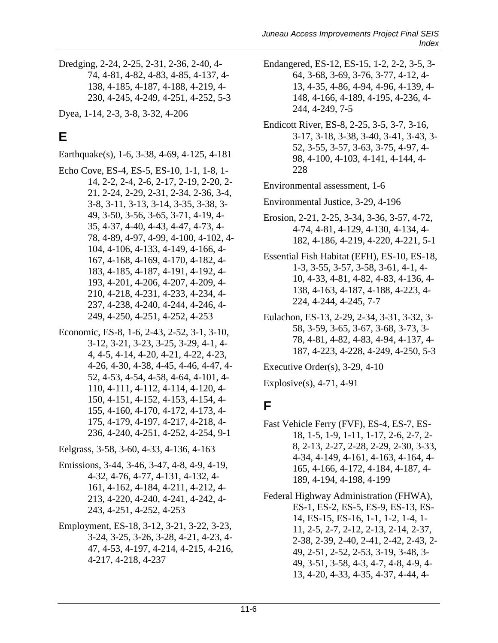Dredging, 2-24, 2-25, 2-31, 2-36, 2-40, 4- 74, 4-81, 4-82, 4-83, 4-85, 4-137, 4- 138, 4-185, 4-187, 4-188, 4-219, 4- 230, 4-245, 4-249, 4-251, 4-252, 5-3

Dyea, 1-14, 2-3, 3-8, 3-32, 4-206

# **E**

Earthquake(s), 1-6, 3-38, 4-69, 4-125, 4-181

- Echo Cove, ES-4, ES-5, ES-10, 1-1, 1-8, 1- 14, 2-2, 2-4, 2-6, 2-17, 2-19, 2-20, 2- 21, 2-24, 2-29, 2-31, 2-34, 2-36, 3-4, 3-8, 3-11, 3-13, 3-14, 3-35, 3-38, 3- 49, 3-50, 3-56, 3-65, 3-71, 4-19, 4- 35, 4-37, 4-40, 4-43, 4-47, 4-73, 4- 78, 4-89, 4-97, 4-99, 4-100, 4-102, 4- 104, 4-106, 4-133, 4-149, 4-166, 4- 167, 4-168, 4-169, 4-170, 4-182, 4- 183, 4-185, 4-187, 4-191, 4-192, 4- 193, 4-201, 4-206, 4-207, 4-209, 4- 210, 4-218, 4-231, 4-233, 4-234, 4- 237, 4-238, 4-240, 4-244, 4-246, 4- 249, 4-250, 4-251, 4-252, 4-253
- Economic, ES-8, 1-6, 2-43, 2-52, 3-1, 3-10, 3-12, 3-21, 3-23, 3-25, 3-29, 4-1, 4- 4, 4-5, 4-14, 4-20, 4-21, 4-22, 4-23, 4-26, 4-30, 4-38, 4-45, 4-46, 4-47, 4- 52, 4-53, 4-54, 4-58, 4-64, 4-101, 4- 110, 4-111, 4-112, 4-114, 4-120, 4- 150, 4-151, 4-152, 4-153, 4-154, 4- 155, 4-160, 4-170, 4-172, 4-173, 4- 175, 4-179, 4-197, 4-217, 4-218, 4- 236, 4-240, 4-251, 4-252, 4-254, 9-1

Eelgrass, 3-58, 3-60, 4-33, 4-136, 4-163

- Emissions, 3-44, 3-46, 3-47, 4-8, 4-9, 4-19, 4-32, 4-76, 4-77, 4-131, 4-132, 4- 161, 4-162, 4-184, 4-211, 4-212, 4- 213, 4-220, 4-240, 4-241, 4-242, 4- 243, 4-251, 4-252, 4-253
- Employment, ES-18, 3-12, 3-21, 3-22, 3-23, 3-24, 3-25, 3-26, 3-28, 4-21, 4-23, 4- 47, 4-53, 4-197, 4-214, 4-215, 4-216, 4-217, 4-218, 4-237
- Endangered, ES-12, ES-15, 1-2, 2-2, 3-5, 3- 64, 3-68, 3-69, 3-76, 3-77, 4-12, 4- 13, 4-35, 4-86, 4-94, 4-96, 4-139, 4- 148, 4-166, 4-189, 4-195, 4-236, 4- 244, 4-249, 7-5
- Endicott River, ES-8, 2-25, 3-5, 3-7, 3-16, 3-17, 3-18, 3-38, 3-40, 3-41, 3-43, 3- 52, 3-55, 3-57, 3-63, 3-75, 4-97, 4- 98, 4-100, 4-103, 4-141, 4-144, 4- 228

Environmental assessment, 1-6

Environmental Justice, 3-29, 4-196

- Erosion, 2-21, 2-25, 3-34, 3-36, 3-57, 4-72, 4-74, 4-81, 4-129, 4-130, 4-134, 4- 182, 4-186, 4-219, 4-220, 4-221, 5-1
- Essential Fish Habitat (EFH), ES-10, ES-18, 1-3, 3-55, 3-57, 3-58, 3-61, 4-1, 4- 10, 4-33, 4-81, 4-82, 4-83, 4-136, 4- 138, 4-163, 4-187, 4-188, 4-223, 4- 224, 4-244, 4-245, 7-7
- Eulachon, ES-13, 2-29, 2-34, 3-31, 3-32, 3- 58, 3-59, 3-65, 3-67, 3-68, 3-73, 3- 78, 4-81, 4-82, 4-83, 4-94, 4-137, 4- 187, 4-223, 4-228, 4-249, 4-250, 5-3

Executive Order(s), 3-29, 4-10

Explosive(s), 4-71, 4-91

### **F**

Fast Vehicle Ferry (FVF), ES-4, ES-7, ES-18, 1-5, 1-9, 1-11, 1-17, 2-6, 2-7, 2- 8, 2-13, 2-27, 2-28, 2-29, 2-30, 3-33, 4-34, 4-149, 4-161, 4-163, 4-164, 4- 165, 4-166, 4-172, 4-184, 4-187, 4- 189, 4-194, 4-198, 4-199

Federal Highway Administration (FHWA), ES-1, ES-2, ES-5, ES-9, ES-13, ES-14, ES-15, ES-16, 1-1, 1-2, 1-4, 1- 11, 2-5, 2-7, 2-12, 2-13, 2-14, 2-37, 2-38, 2-39, 2-40, 2-41, 2-42, 2-43, 2- 49, 2-51, 2-52, 2-53, 3-19, 3-48, 3- 49, 3-51, 3-58, 4-3, 4-7, 4-8, 4-9, 4- 13, 4-20, 4-33, 4-35, 4-37, 4-44, 4-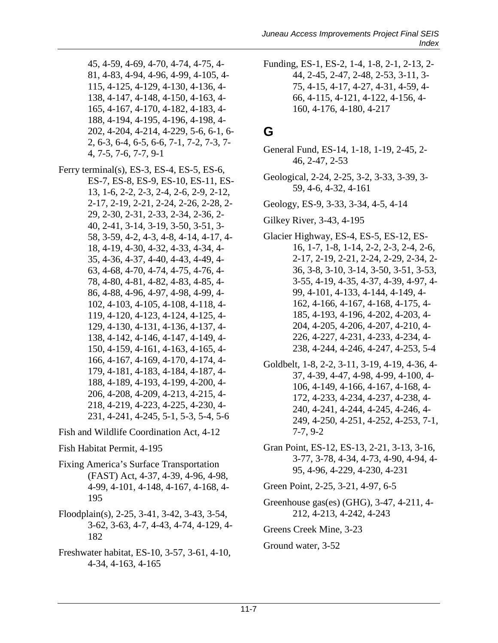- 45, 4-59, 4-69, 4-70, 4-74, 4-75, 4- 81, 4-83, 4-94, 4-96, 4-99, 4-105, 4- 115, 4-125, 4-129, 4-130, 4-136, 4- 138, 4-147, 4-148, 4-150, 4-163, 4- 165, 4-167, 4-170, 4-182, 4-183, 4- 188, 4-194, 4-195, 4-196, 4-198, 4- 202, 4-204, 4-214, 4-229, 5-6, 6-1, 6- 2, 6-3, 6-4, 6-5, 6-6, 7-1, 7-2, 7-3, 7- 4, 7-5, 7-6, 7-7, 9-1
- Ferry terminal(s), ES-3, ES-4, ES-5, ES-6, ES-7, ES-8, ES-9, ES-10, ES-11, ES-13, 1-6, 2-2, 2-3, 2-4, 2-6, 2-9, 2-12, 2-17, 2-19, 2-21, 2-24, 2-26, 2-28, 2- 29, 2-30, 2-31, 2-33, 2-34, 2-36, 2- 40, 2-41, 3-14, 3-19, 3-50, 3-51, 3- 58, 3-59, 4-2, 4-3, 4-8, 4-14, 4-17, 4- 18, 4-19, 4-30, 4-32, 4-33, 4-34, 4- 35, 4-36, 4-37, 4-40, 4-43, 4-49, 4- 63, 4-68, 4-70, 4-74, 4-75, 4-76, 4- 78, 4-80, 4-81, 4-82, 4-83, 4-85, 4- 86, 4-88, 4-96, 4-97, 4-98, 4-99, 4- 102, 4-103, 4-105, 4-108, 4-118, 4- 119, 4-120, 4-123, 4-124, 4-125, 4- 129, 4-130, 4-131, 4-136, 4-137, 4- 138, 4-142, 4-146, 4-147, 4-149, 4- 150, 4-159, 4-161, 4-163, 4-165, 4- 166, 4-167, 4-169, 4-170, 4-174, 4- 179, 4-181, 4-183, 4-184, 4-187, 4- 188, 4-189, 4-193, 4-199, 4-200, 4- 206, 4-208, 4-209, 4-213, 4-215, 4- 218, 4-219, 4-223, 4-225, 4-230, 4- 231, 4-241, 4-245, 5-1, 5-3, 5-4, 5-6

Fish and Wildlife Coordination Act, 4-12

- Fish Habitat Permit, 4-195
- Fixing America's Surface Transportation (FAST) Act, 4-37, 4-39, 4-96, 4-98, 4-99, 4-101, 4-148, 4-167, 4-168, 4- 195
- Floodplain(s), 2-25, 3-41, 3-42, 3-43, 3-54, 3-62, 3-63, 4-7, 4-43, 4-74, 4-129, 4- 182
- Freshwater habitat, ES-10, 3-57, 3-61, 4-10, 4-34, 4-163, 4-165

Funding, ES-1, ES-2, 1-4, 1-8, 2-1, 2-13, 2- 44, 2-45, 2-47, 2-48, 2-53, 3-11, 3- 75, 4-15, 4-17, 4-27, 4-31, 4-59, 4- 66, 4-115, 4-121, 4-122, 4-156, 4- 160, 4-176, 4-180, 4-217

#### **G**

- General Fund, ES-14, 1-18, 1-19, 2-45, 2- 46, 2-47, 2-53
- Geological, 2-24, 2-25, 3-2, 3-33, 3-39, 3- 59, 4-6, 4-32, 4-161
- Geology, ES-9, 3-33, 3-34, 4-5, 4-14
- Gilkey River, 3-43, 4-195
- Glacier Highway, ES-4, ES-5, ES-12, ES-16, 1-7, 1-8, 1-14, 2-2, 2-3, 2-4, 2-6, 2-17, 2-19, 2-21, 2-24, 2-29, 2-34, 2- 36, 3-8, 3-10, 3-14, 3-50, 3-51, 3-53, 3-55, 4-19, 4-35, 4-37, 4-39, 4-97, 4- 99, 4-101, 4-133, 4-144, 4-149, 4- 162, 4-166, 4-167, 4-168, 4-175, 4- 185, 4-193, 4-196, 4-202, 4-203, 4- 204, 4-205, 4-206, 4-207, 4-210, 4- 226, 4-227, 4-231, 4-233, 4-234, 4- 238, 4-244, 4-246, 4-247, 4-253, 5-4
- Goldbelt, 1-8, 2-2, 3-11, 3-19, 4-19, 4-36, 4- 37, 4-39, 4-47, 4-98, 4-99, 4-100, 4- 106, 4-149, 4-166, 4-167, 4-168, 4- 172, 4-233, 4-234, 4-237, 4-238, 4- 240, 4-241, 4-244, 4-245, 4-246, 4- 249, 4-250, 4-251, 4-252, 4-253, 7-1, 7-7, 9-2
- Gran Point, ES-12, ES-13, 2-21, 3-13, 3-16, 3-77, 3-78, 4-34, 4-73, 4-90, 4-94, 4- 95, 4-96, 4-229, 4-230, 4-231

Green Point, 2-25, 3-21, 4-97, 6-5

Greenhouse gas(es) (GHG), 3-47, 4-211, 4- 212, 4-213, 4-242, 4-243

Greens Creek Mine, 3-23

#### Ground water, 3-52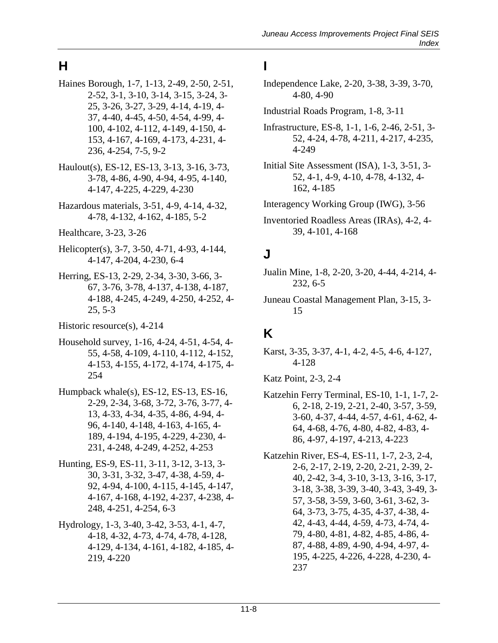# **H**

- Haines Borough, 1-7, 1-13, 2-49, 2-50, 2-51, 2-52, 3-1, 3-10, 3-14, 3-15, 3-24, 3- 25, 3-26, 3-27, 3-29, 4-14, 4-19, 4- 37, 4-40, 4-45, 4-50, 4-54, 4-99, 4- 100, 4-102, 4-112, 4-149, 4-150, 4- 153, 4-167, 4-169, 4-173, 4-231, 4- 236, 4-254, 7-5, 9-2
- Haulout(s), ES-12, ES-13, 3-13, 3-16, 3-73, 3-78, 4-86, 4-90, 4-94, 4-95, 4-140, 4-147, 4-225, 4-229, 4-230
- Hazardous materials, 3-51, 4-9, 4-14, 4-32, 4-78, 4-132, 4-162, 4-185, 5-2
- Healthcare, 3-23, 3-26
- Helicopter(s), 3-7, 3-50, 4-71, 4-93, 4-144, 4-147, 4-204, 4-230, 6-4
- Herring, ES-13, 2-29, 2-34, 3-30, 3-66, 3- 67, 3-76, 3-78, 4-137, 4-138, 4-187, 4-188, 4-245, 4-249, 4-250, 4-252, 4- 25, 5-3
- Historic resource(s), 4-214
- Household survey, 1-16, 4-24, 4-51, 4-54, 4- 55, 4-58, 4-109, 4-110, 4-112, 4-152, 4-153, 4-155, 4-172, 4-174, 4-175, 4- 254
- Humpback whale(s), ES-12, ES-13, ES-16, 2-29, 2-34, 3-68, 3-72, 3-76, 3-77, 4- 13, 4-33, 4-34, 4-35, 4-86, 4-94, 4- 96, 4-140, 4-148, 4-163, 4-165, 4- 189, 4-194, 4-195, 4-229, 4-230, 4- 231, 4-248, 4-249, 4-252, 4-253
- Hunting, ES-9, ES-11, 3-11, 3-12, 3-13, 3- 30, 3-31, 3-32, 3-47, 4-38, 4-59, 4- 92, 4-94, 4-100, 4-115, 4-145, 4-147, 4-167, 4-168, 4-192, 4-237, 4-238, 4- 248, 4-251, 4-254, 6-3
- Hydrology, 1-3, 3-40, 3-42, 3-53, 4-1, 4-7, 4-18, 4-32, 4-73, 4-74, 4-78, 4-128, 4-129, 4-134, 4-161, 4-182, 4-185, 4- 219, 4-220

#### **I**

- Independence Lake, 2-20, 3-38, 3-39, 3-70, 4-80, 4-90
- Industrial Roads Program, 1-8, 3-11
- Infrastructure, ES-8, 1-1, 1-6, 2-46, 2-51, 3- 52, 4-24, 4-78, 4-211, 4-217, 4-235, 4-249
- Initial Site Assessment (ISA), 1-3, 3-51, 3- 52, 4-1, 4-9, 4-10, 4-78, 4-132, 4- 162, 4-185

Interagency Working Group (IWG), 3-56

Inventoried Roadless Areas (IRAs), 4-2, 4- 39, 4-101, 4-168

#### **J**

- Jualin Mine, 1-8, 2-20, 3-20, 4-44, 4-214, 4- 232, 6-5
- Juneau Coastal Management Plan, 3-15, 3- 15

#### **K**

Karst, 3-35, 3-37, 4-1, 4-2, 4-5, 4-6, 4-127, 4-128

Katz Point, 2-3, 2-4

- Katzehin Ferry Terminal, ES-10, 1-1, 1-7, 2- 6, 2-18, 2-19, 2-21, 2-40, 3-57, 3-59, 3-60, 4-37, 4-44, 4-57, 4-61, 4-62, 4- 64, 4-68, 4-76, 4-80, 4-82, 4-83, 4- 86, 4-97, 4-197, 4-213, 4-223
- Katzehin River, ES-4, ES-11, 1-7, 2-3, 2-4, 2-6, 2-17, 2-19, 2-20, 2-21, 2-39, 2- 40, 2-42, 3-4, 3-10, 3-13, 3-16, 3-17, 3-18, 3-38, 3-39, 3-40, 3-43, 3-49, 3- 57, 3-58, 3-59, 3-60, 3-61, 3-62, 3- 64, 3-73, 3-75, 4-35, 4-37, 4-38, 4- 42, 4-43, 4-44, 4-59, 4-73, 4-74, 4- 79, 4-80, 4-81, 4-82, 4-85, 4-86, 4- 87, 4-88, 4-89, 4-90, 4-94, 4-97, 4- 195, 4-225, 4-226, 4-228, 4-230, 4- 237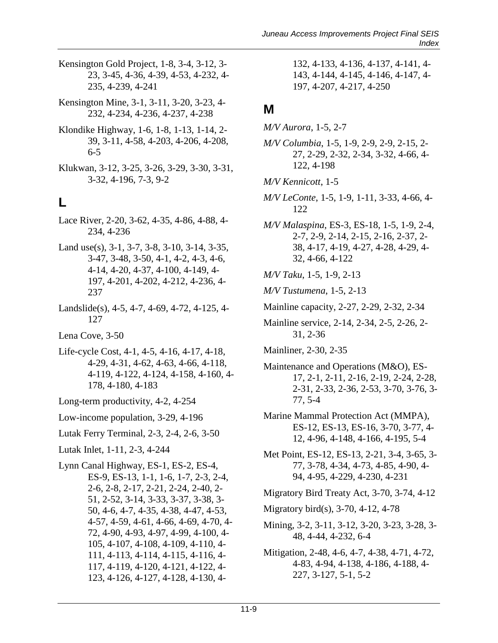- Kensington Gold Project, 1-8, 3-4, 3-12, 3- 23, 3-45, 4-36, 4-39, 4-53, 4-232, 4- 235, 4-239, 4-241
- Kensington Mine, 3-1, 3-11, 3-20, 3-23, 4- 232, 4-234, 4-236, 4-237, 4-238
- Klondike Highway, 1-6, 1-8, 1-13, 1-14, 2- 39, 3-11, 4-58, 4-203, 4-206, 4-208, 6-5
- Klukwan, 3-12, 3-25, 3-26, 3-29, 3-30, 3-31, 3-32, 4-196, 7-3, 9-2

#### **L**

- Lace River, 2-20, 3-62, 4-35, 4-86, 4-88, 4- 234, 4-236
- Land use(s), 3-1, 3-7, 3-8, 3-10, 3-14, 3-35, 3-47, 3-48, 3-50, 4-1, 4-2, 4-3, 4-6, 4-14, 4-20, 4-37, 4-100, 4-149, 4- 197, 4-201, 4-202, 4-212, 4-236, 4- 237
- Landslide(s), 4-5, 4-7, 4-69, 4-72, 4-125, 4- 127

Lena Cove, 3-50

- Life-cycle Cost, 4-1, 4-5, 4-16, 4-17, 4-18, 4-29, 4-31, 4-62, 4-63, 4-66, 4-118, 4-119, 4-122, 4-124, 4-158, 4-160, 4- 178, 4-180, 4-183
- Long-term productivity, 4-2, 4-254
- Low-income population, 3-29, 4-196
- Lutak Ferry Terminal, 2-3, 2-4, 2-6, 3-50
- Lutak Inlet, 1-11, 2-3, 4-244
- Lynn Canal Highway, ES-1, ES-2, ES-4, ES-9, ES-13, 1-1, 1-6, 1-7, 2-3, 2-4, 2-6, 2-8, 2-17, 2-21, 2-24, 2-40, 2- 51, 2-52, 3-14, 3-33, 3-37, 3-38, 3- 50, 4-6, 4-7, 4-35, 4-38, 4-47, 4-53, 4-57, 4-59, 4-61, 4-66, 4-69, 4-70, 4- 72, 4-90, 4-93, 4-97, 4-99, 4-100, 4- 105, 4-107, 4-108, 4-109, 4-110, 4- 111, 4-113, 4-114, 4-115, 4-116, 4- 117, 4-119, 4-120, 4-121, 4-122, 4- 123, 4-126, 4-127, 4-128, 4-130, 4-

132, 4-133, 4-136, 4-137, 4-141, 4- 143, 4-144, 4-145, 4-146, 4-147, 4- 197, 4-207, 4-217, 4-250

#### **M**

- *M/V Aurora*, 1-5, 2-7
- *M/V Columbia*, 1-5, 1-9, 2-9, 2-9, 2-15, 2- 27, 2-29, 2-32, 2-34, 3-32, 4-66, 4- 122, 4-198
- *M/V Kennicott*, 1-5
- *M/V LeConte*, 1-5, 1-9, 1-11, 3-33, 4-66, 4- 122
- *M/V Malaspina*, ES-3, ES-18, 1-5, 1-9, 2-4, 2-7, 2-9, 2-14, 2-15, 2-16, 2-37, 2- 38, 4-17, 4-19, 4-27, 4-28, 4-29, 4- 32, 4-66, 4-122
- *M/V Taku*, 1-5, 1-9, 2-13
- *M/V Tustumena*, 1-5, 2-13
- Mainline capacity, 2-27, 2-29, 2-32, 2-34
- Mainline service, 2-14, 2-34, 2-5, 2-26, 2- 31, 2-36
- Mainliner, 2-30, 2-35
- Maintenance and Operations (M&O), ES-17, 2-1, 2-11, 2-16, 2-19, 2-24, 2-28, 2-31, 2-33, 2-36, 2-53, 3-70, 3-76, 3- 77, 5-4
- Marine Mammal Protection Act (MMPA), ES-12, ES-13, ES-16, 3-70, 3-77, 4- 12, 4-96, 4-148, 4-166, 4-195, 5-4
- Met Point, ES-12, ES-13, 2-21, 3-4, 3-65, 3- 77, 3-78, 4-34, 4-73, 4-85, 4-90, 4- 94, 4-95, 4-229, 4-230, 4-231
- Migratory Bird Treaty Act, 3-70, 3-74, 4-12
- Migratory bird(s), 3-70, 4-12, 4-78
- Mining, 3-2, 3-11, 3-12, 3-20, 3-23, 3-28, 3- 48, 4-44, 4-232, 6-4
- Mitigation, 2-48, 4-6, 4-7, 4-38, 4-71, 4-72, 4-83, 4-94, 4-138, 4-186, 4-188, 4- 227, 3-127, 5-1, 5-2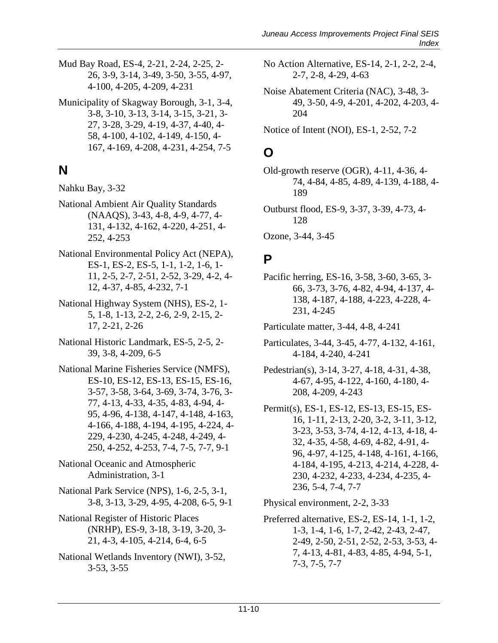Mud Bay Road, ES-4, 2-21, 2-24, 2-25, 2- 26, 3-9, 3-14, 3-49, 3-50, 3-55, 4-97, 4-100, 4-205, 4-209, 4-231

Municipality of Skagway Borough, 3-1, 3-4, 3-8, 3-10, 3-13, 3-14, 3-15, 3-21, 3- 27, 3-28, 3-29, 4-19, 4-37, 4-40, 4- 58, 4-100, 4-102, 4-149, 4-150, 4- 167, 4-169, 4-208, 4-231, 4-254, 7-5

# **N**

- Nahku Bay, 3-32
- National Ambient Air Quality Standards (NAAQS), 3-43, 4-8, 4-9, 4-77, 4- 131, 4-132, 4-162, 4-220, 4-251, 4- 252, 4-253
- National Environmental Policy Act (NEPA), ES-1, ES-2, ES-5, 1-1, 1-2, 1-6, 1- 11, 2-5, 2-7, 2-51, 2-52, 3-29, 4-2, 4- 12, 4-37, 4-85, 4-232, 7-1
- National Highway System (NHS), ES-2, 1- 5, 1-8, 1-13, 2-2, 2-6, 2-9, 2-15, 2- 17, 2-21, 2-26
- National Historic Landmark, ES-5, 2-5, 2- 39, 3-8, 4-209, 6-5
- National Marine Fisheries Service (NMFS), ES-10, ES-12, ES-13, ES-15, ES-16, 3-57, 3-58, 3-64, 3-69, 3-74, 3-76, 3- 77, 4-13, 4-33, 4-35, 4-83, 4-94, 4- 95, 4-96, 4-138, 4-147, 4-148, 4-163, 4-166, 4-188, 4-194, 4-195, 4-224, 4- 229, 4-230, 4-245, 4-248, 4-249, 4- 250, 4-252, 4-253, 7-4, 7-5, 7-7, 9-1
- National Oceanic and Atmospheric Administration, 3-1
- National Park Service (NPS), 1-6, 2-5, 3-1, 3-8, 3-13, 3-29, 4-95, 4-208, 6-5, 9-1
- National Register of Historic Places (NRHP), ES-9, 3-18, 3-19, 3-20, 3- 21, 4-3, 4-105, 4-214, 6-4, 6-5
- National Wetlands Inventory (NWI), 3-52, 3-53, 3-55

No Action Alternative, ES-14, 2-1, 2-2, 2-4, 2-7, 2-8, 4-29, 4-63

Noise Abatement Criteria (NAC), 3-48, 3- 49, 3-50, 4-9, 4-201, 4-202, 4-203, 4- 204

Notice of Intent (NOI), ES-1, 2-52, 7-2

### **O**

Old-growth reserve (OGR), 4-11, 4-36, 4- 74, 4-84, 4-85, 4-89, 4-139, 4-188, 4- 189

Outburst flood, ES-9, 3-37, 3-39, 4-73, 4- 128

Ozone, 3-44, 3-45

#### **P**

Particulate matter, 3-44, 4-8, 4-241

- Particulates, 3-44, 3-45, 4-77, 4-132, 4-161, 4-184, 4-240, 4-241
- Pedestrian(s), 3-14, 3-27, 4-18, 4-31, 4-38, 4-67, 4-95, 4-122, 4-160, 4-180, 4- 208, 4-209, 4-243
- Permit(s), ES-1, ES-12, ES-13, ES-15, ES-16, 1-11, 2-13, 2-20, 3-2, 3-11, 3-12, 3-23, 3-53, 3-74, 4-12, 4-13, 4-18, 4- 32, 4-35, 4-58, 4-69, 4-82, 4-91, 4- 96, 4-97, 4-125, 4-148, 4-161, 4-166, 4-184, 4-195, 4-213, 4-214, 4-228, 4- 230, 4-232, 4-233, 4-234, 4-235, 4- 236, 5-4, 7-4, 7-7

Physical environment, 2-2, 3-33

Preferred alternative, ES-2, ES-14, 1-1, 1-2, 1-3, 1-4, 1-6, 1-7, 2-42, 2-43, 2-47, 2-49, 2-50, 2-51, 2-52, 2-53, 3-53, 4- 7, 4-13, 4-81, 4-83, 4-85, 4-94, 5-1, 7-3, 7-5, 7-7

Pacific herring, ES-16, 3-58, 3-60, 3-65, 3- 66, 3-73, 3-76, 4-82, 4-94, 4-137, 4- 138, 4-187, 4-188, 4-223, 4-228, 4- 231, 4-245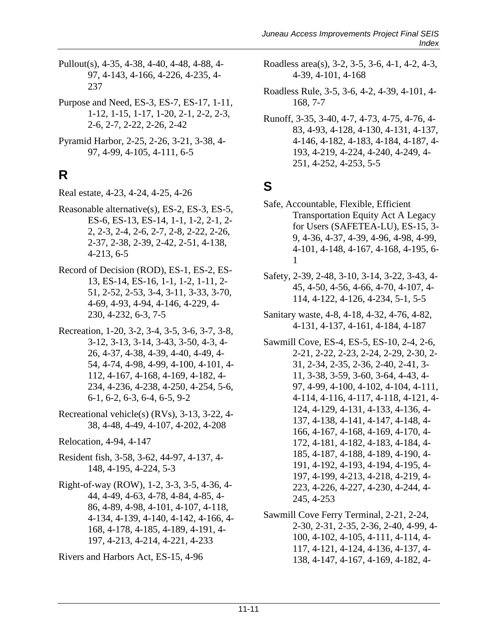- Pullout(s), 4-35, 4-38, 4-40, 4-48, 4-88, 4- 97, 4-143, 4-166, 4-226, 4-235, 4- 237
- Purpose and Need, ES-3, ES-7, ES-17, 1-11, 1-12, 1-15, 1-17, 1-20, 2-1, 2-2, 2-3, 2-6, 2-7, 2-22, 2-26, 2-42
- Pyramid Harbor, 2-25, 2-26, 3-21, 3-38, 4- 97, 4-99, 4-105, 4-111, 6-5

# **R**

- Real estate, 4-23, 4-24, 4-25, 4-26
- Reasonable alternative(s), ES-2, ES-3, ES-5, ES-6, ES-13, ES-14, 1-1, 1-2, 2-1, 2- 2, 2-3, 2-4, 2-6, 2-7, 2-8, 2-22, 2-26, 2-37, 2-38, 2-39, 2-42, 2-51, 4-138, 4-213, 6-5
- Record of Decision (ROD), ES-1, ES-2, ES-13, ES-14, ES-16, 1-1, 1-2, 1-11, 2- 51, 2-52, 2-53, 3-4, 3-11, 3-33, 3-70, 4-69, 4-93, 4-94, 4-146, 4-229, 4- 230, 4-232, 6-3, 7-5
- Recreation, 1-20, 3-2, 3-4, 3-5, 3-6, 3-7, 3-8, 3-12, 3-13, 3-14, 3-43, 3-50, 4-3, 4- 26, 4-37, 4-38, 4-39, 4-40, 4-49, 4- 54, 4-74, 4-98, 4-99, 4-100, 4-101, 4- 112, 4-167, 4-168, 4-169, 4-182, 4- 234, 4-236, 4-238, 4-250, 4-254, 5-6, 6-1, 6-2, 6-3, 6-4, 6-5, 9-2
- Recreational vehicle(s) (RVs), 3-13, 3-22, 4- 38, 4-48, 4-49, 4-107, 4-202, 4-208
- Relocation, 4-94, 4-147
- Resident fish, 3-58, 3-62, 44-97, 4-137, 4- 148, 4-195, 4-224, 5-3
- Right-of-way (ROW), 1-2, 3-3, 3-5, 4-36, 4- 44, 4-49, 4-63, 4-78, 4-84, 4-85, 4- 86, 4-89, 4-98, 4-101, 4-107, 4-118, 4-134, 4-139, 4-140, 4-142, 4-166, 4- 168, 4-178, 4-185, 4-189, 4-191, 4- 197, 4-213, 4-214, 4-221, 4-233

Rivers and Harbors Act, ES-15, 4-96

- Roadless area(s), 3-2, 3-5, 3-6, 4-1, 4-2, 4-3, 4-39, 4-101, 4-168
- Roadless Rule, 3-5, 3-6, 4-2, 4-39, 4-101, 4- 168, 7-7
- Runoff, 3-35, 3-40, 4-7, 4-73, 4-75, 4-76, 4- 83, 4-93, 4-128, 4-130, 4-131, 4-137, 4-146, 4-182, 4-183, 4-184, 4-187, 4- 193, 4-219, 4-224, 4-240, 4-249, 4- 251, 4-252, 4-253, 5-5

#### **S**

- Safe, Accountable, Flexible, Efficient Transportation Equity Act A Legacy for Users (SAFETEA-LU), ES-15, 3- 9, 4-36, 4-37, 4-39, 4-96, 4-98, 4-99, 4-101, 4-148, 4-167, 4-168, 4-195, 6- 1
- Safety, 2-39, 2-48, 3-10, 3-14, 3-22, 3-43, 4- 45, 4-50, 4-56, 4-66, 4-70, 4-107, 4- 114, 4-122, 4-126, 4-234, 5-1, 5-5
- Sanitary waste, 4-8, 4-18, 4-32, 4-76, 4-82, 4-131, 4-137, 4-161, 4-184, 4-187
- Sawmill Cove, ES-4, ES-5, ES-10, 2-4, 2-6, 2-21, 2-22, 2-23, 2-24, 2-29, 2-30, 2- 31, 2-34, 2-35, 2-36, 2-40, 2-41, 3- 11, 3-38, 3-59, 3-60, 3-64, 4-43, 4- 97, 4-99, 4-100, 4-102, 4-104, 4-111, 4-114, 4-116, 4-117, 4-118, 4-121, 4- 124, 4-129, 4-131, 4-133, 4-136, 4- 137, 4-138, 4-141, 4-147, 4-148, 4- 166, 4-167, 4-168, 4-169, 4-170, 4- 172, 4-181, 4-182, 4-183, 4-184, 4- 185, 4-187, 4-188, 4-189, 4-190, 4- 191, 4-192, 4-193, 4-194, 4-195, 4- 197, 4-199, 4-213, 4-218, 4-219, 4- 223, 4-226, 4-227, 4-230, 4-244, 4- 245, 4-253

Sawmill Cove Ferry Terminal, 2-21, 2-24, 2-30, 2-31, 2-35, 2-36, 2-40, 4-99, 4- 100, 4-102, 4-105, 4-111, 4-114, 4- 117, 4-121, 4-124, 4-136, 4-137, 4- 138, 4-147, 4-167, 4-169, 4-182, 4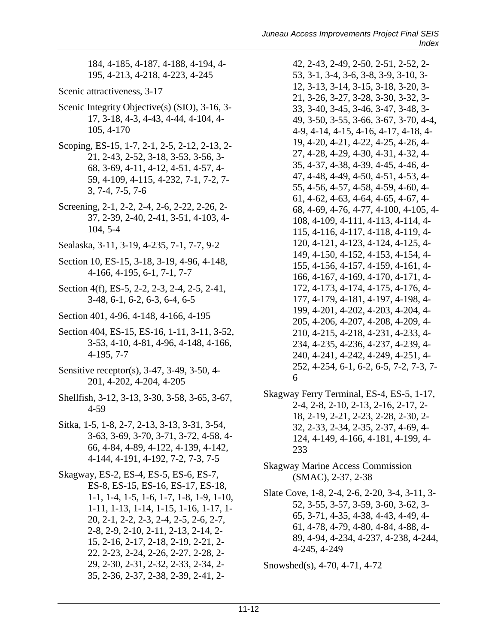184, 4-185, 4-187, 4-188, 4-194, 4- 195, 4-213, 4-218, 4-223, 4-245

- Scenic attractiveness, 3-17
- Scenic Integrity Objective(s) (SIO), 3-16, 3- 17, 3-18, 4-3, 4-43, 4-44, 4-104, 4- 105, 4-170
- Scoping, ES-15, 1-7, 2-1, 2-5, 2-12, 2-13, 2- 21, 2-43, 2-52, 3-18, 3-53, 3-56, 3- 68, 3-69, 4-11, 4-12, 4-51, 4-57, 4- 59, 4-109, 4-115, 4-232, 7-1, 7-2, 7- 3, 7-4, 7-5, 7-6
- Screening, 2-1, 2-2, 2-4, 2-6, 2-22, 2-26, 2- 37, 2-39, 2-40, 2-41, 3-51, 4-103, 4- 104, 5-4
- Sealaska, 3-11, 3-19, 4-235, 7-1, 7-7, 9-2
- Section 10, ES-15, 3-18, 3-19, 4-96, 4-148, 4-166, 4-195, 6-1, 7-1, 7-7
- Section 4(f), ES-5, 2-2, 2-3, 2-4, 2-5, 2-41, 3-48, 6-1, 6-2, 6-3, 6-4, 6-5
- Section 401, 4-96, 4-148, 4-166, 4-195
- Section 404, ES-15, ES-16, 1-11, 3-11, 3-52, 3-53, 4-10, 4-81, 4-96, 4-148, 4-166, 4-195, 7-7
- Sensitive receptor(s), 3-47, 3-49, 3-50, 4- 201, 4-202, 4-204, 4-205
- Shellfish, 3-12, 3-13, 3-30, 3-58, 3-65, 3-67, 4-59
- Sitka, 1-5, 1-8, 2-7, 2-13, 3-13, 3-31, 3-54, 3-63, 3-69, 3-70, 3-71, 3-72, 4-58, 4- 66, 4-84, 4-89, 4-122, 4-139, 4-142, 4-144, 4-191, 4-192, 7-2, 7-3, 7-5
- Skagway, ES-2, ES-4, ES-5, ES-6, ES-7, ES-8, ES-15, ES-16, ES-17, ES-18, 1-1, 1-4, 1-5, 1-6, 1-7, 1-8, 1-9, 1-10, 1-11, 1-13, 1-14, 1-15, 1-16, 1-17, 1- 20, 2-1, 2-2, 2-3, 2-4, 2-5, 2-6, 2-7, 2-8, 2-9, 2-10, 2-11, 2-13, 2-14, 2- 15, 2-16, 2-17, 2-18, 2-19, 2-21, 2- 22, 2-23, 2-24, 2-26, 2-27, 2-28, 2- 29, 2-30, 2-31, 2-32, 2-33, 2-34, 2- 35, 2-36, 2-37, 2-38, 2-39, 2-41, 2-

42, 2-43, 2-49, 2-50, 2-51, 2-52, 2- 53, 3-1, 3-4, 3-6, 3-8, 3-9, 3-10, 3- 12, 3-13, 3-14, 3-15, 3-18, 3-20, 3- 21, 3-26, 3-27, 3-28, 3-30, 3-32, 3- 33, 3-40, 3-45, 3-46, 3-47, 3-48, 3- 49, 3-50, 3-55, 3-66, 3-67, 3-70, 4-4, 4-9, 4-14, 4-15, 4-16, 4-17, 4-18, 4- 19, 4-20, 4-21, 4-22, 4-25, 4-26, 4- 27, 4-28, 4-29, 4-30, 4-31, 4-32, 4- 35, 4-37, 4-38, 4-39, 4-45, 4-46, 4- 47, 4-48, 4-49, 4-50, 4-51, 4-53, 4- 55, 4-56, 4-57, 4-58, 4-59, 4-60, 4- 61, 4-62, 4-63, 4-64, 4-65, 4-67, 4- 68, 4-69, 4-76, 4-77, 4-100, 4-105, 4- 108, 4-109, 4-111, 4-113, 4-114, 4- 115, 4-116, 4-117, 4-118, 4-119, 4- 120, 4-121, 4-123, 4-124, 4-125, 4- 149, 4-150, 4-152, 4-153, 4-154, 4- 155, 4-156, 4-157, 4-159, 4-161, 4- 166, 4-167, 4-169, 4-170, 4-171, 4- 172, 4-173, 4-174, 4-175, 4-176, 4- 177, 4-179, 4-181, 4-197, 4-198, 4- 199, 4-201, 4-202, 4-203, 4-204, 4- 205, 4-206, 4-207, 4-208, 4-209, 4- 210, 4-215, 4-218, 4-231, 4-233, 4- 234, 4-235, 4-236, 4-237, 4-239, 4- 240, 4-241, 4-242, 4-249, 4-251, 4- 252, 4-254, 6-1, 6-2, 6-5, 7-2, 7-3, 7- 6

- Skagway Ferry Terminal, ES-4, ES-5, 1-17, 2-4, 2-8, 2-10, 2-13, 2-16, 2-17, 2- 18, 2-19, 2-21, 2-23, 2-28, 2-30, 2- 32, 2-33, 2-34, 2-35, 2-37, 4-69, 4- 124, 4-149, 4-166, 4-181, 4-199, 4- 233
- Skagway Marine Access Commission (SMAC), 2-37, 2-38
- Slate Cove, 1-8, 2-4, 2-6, 2-20, 3-4, 3-11, 3- 52, 3-55, 3-57, 3-59, 3-60, 3-62, 3- 65, 3-71, 4-35, 4-38, 4-43, 4-49, 4- 61, 4-78, 4-79, 4-80, 4-84, 4-88, 4- 89, 4-94, 4-234, 4-237, 4-238, 4-244, 4-245, 4-249

Snowshed(s), 4-70, 4-71, 4-72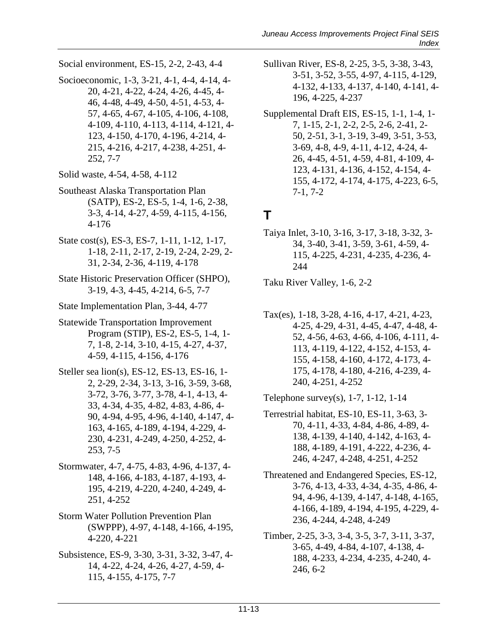Social environment, ES-15, 2-2, 2-43, 4-4

- Socioeconomic, 1-3, 3-21, 4-1, 4-4, 4-14, 4- 20, 4-21, 4-22, 4-24, 4-26, 4-45, 4- 46, 4-48, 4-49, 4-50, 4-51, 4-53, 4- 57, 4-65, 4-67, 4-105, 4-106, 4-108, 4-109, 4-110, 4-113, 4-114, 4-121, 4- 123, 4-150, 4-170, 4-196, 4-214, 4- 215, 4-216, 4-217, 4-238, 4-251, 4- 252, 7-7
- Solid waste, 4-54, 4-58, 4-112
- Southeast Alaska Transportation Plan (SATP), ES-2, ES-5, 1-4, 1-6, 2-38, 3-3, 4-14, 4-27, 4-59, 4-115, 4-156, 4-176
- State cost(s), ES-3, ES-7, 1-11, 1-12, 1-17, 1-18, 2-11, 2-17, 2-19, 2-24, 2-29, 2- 31, 2-34, 2-36, 4-119, 4-178
- State Historic Preservation Officer (SHPO), 3-19, 4-3, 4-45, 4-214, 6-5, 7-7
- State Implementation Plan, 3-44, 4-77
- Statewide Transportation Improvement Program (STIP), ES-2, ES-5, 1-4, 1- 7, 1-8, 2-14, 3-10, 4-15, 4-27, 4-37, 4-59, 4-115, 4-156, 4-176
- Steller sea lion(s), ES-12, ES-13, ES-16, 1- 2, 2-29, 2-34, 3-13, 3-16, 3-59, 3-68, 3-72, 3-76, 3-77, 3-78, 4-1, 4-13, 4- 33, 4-34, 4-35, 4-82, 4-83, 4-86, 4- 90, 4-94, 4-95, 4-96, 4-140, 4-147, 4- 163, 4-165, 4-189, 4-194, 4-229, 4- 230, 4-231, 4-249, 4-250, 4-252, 4- 253, 7-5
- Stormwater, 4-7, 4-75, 4-83, 4-96, 4-137, 4- 148, 4-166, 4-183, 4-187, 4-193, 4- 195, 4-219, 4-220, 4-240, 4-249, 4- 251, 4-252
- Storm Water Pollution Prevention Plan (SWPPP), 4-97, 4-148, 4-166, 4-195, 4-220, 4-221
- Subsistence, ES-9, 3-30, 3-31, 3-32, 3-47, 4- 14, 4-22, 4-24, 4-26, 4-27, 4-59, 4- 115, 4-155, 4-175, 7-7
- Sullivan River, ES-8, 2-25, 3-5, 3-38, 3-43, 3-51, 3-52, 3-55, 4-97, 4-115, 4-129, 4-132, 4-133, 4-137, 4-140, 4-141, 4- 196, 4-225, 4-237
- Supplemental Draft EIS, ES-15, 1-1, 1-4, 1- 7, 1-15, 2-1, 2-2, 2-5, 2-6, 2-41, 2- 50, 2-51, 3-1, 3-19, 3-49, 3-51, 3-53, 3-69, 4-8, 4-9, 4-11, 4-12, 4-24, 4- 26, 4-45, 4-51, 4-59, 4-81, 4-109, 4- 123, 4-131, 4-136, 4-152, 4-154, 4- 155, 4-172, 4-174, 4-175, 4-223, 6-5, 7-1, 7-2

#### **T**

Taiya Inlet, 3-10, 3-16, 3-17, 3-18, 3-32, 3- 34, 3-40, 3-41, 3-59, 3-61, 4-59, 4- 115, 4-225, 4-231, 4-235, 4-236, 4- 244

Taku River Valley, 1-6, 2-2

Tax(es), 1-18, 3-28, 4-16, 4-17, 4-21, 4-23, 4-25, 4-29, 4-31, 4-45, 4-47, 4-48, 4- 52, 4-56, 4-63, 4-66, 4-106, 4-111, 4- 113, 4-119, 4-122, 4-152, 4-153, 4- 155, 4-158, 4-160, 4-172, 4-173, 4- 175, 4-178, 4-180, 4-216, 4-239, 4- 240, 4-251, 4-252

Telephone survey(s), 1-7, 1-12, 1-14

- Terrestrial habitat, ES-10, ES-11, 3-63, 3- 70, 4-11, 4-33, 4-84, 4-86, 4-89, 4- 138, 4-139, 4-140, 4-142, 4-163, 4- 188, 4-189, 4-191, 4-222, 4-236, 4- 246, 4-247, 4-248, 4-251, 4-252
- Threatened and Endangered Species, ES-12, 3-76, 4-13, 4-33, 4-34, 4-35, 4-86, 4- 94, 4-96, 4-139, 4-147, 4-148, 4-165, 4-166, 4-189, 4-194, 4-195, 4-229, 4- 236, 4-244, 4-248, 4-249
- Timber, 2-25, 3-3, 3-4, 3-5, 3-7, 3-11, 3-37, 3-65, 4-49, 4-84, 4-107, 4-138, 4- 188, 4-233, 4-234, 4-235, 4-240, 4- 246, 6-2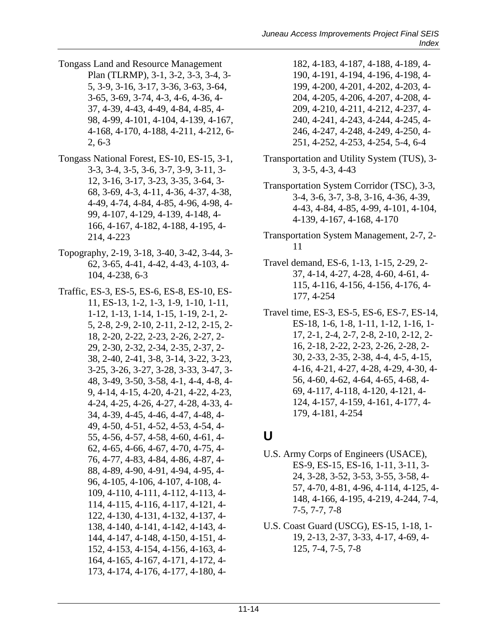- Tongass Land and Resource Management Plan (TLRMP), 3-1, 3-2, 3-3, 3-4, 3- 5, 3-9, 3-16, 3-17, 3-36, 3-63, 3-64, 3-65, 3-69, 3-74, 4-3, 4-6, 4-36, 4- 37, 4-39, 4-43, 4-49, 4-84, 4-85, 4- 98, 4-99, 4-101, 4-104, 4-139, 4-167, 4-168, 4-170, 4-188, 4-211, 4-212, 6- 2, 6-3
- Tongass National Forest, ES-10, ES-15, 3-1, 3-3, 3-4, 3-5, 3-6, 3-7, 3-9, 3-11, 3- 12, 3-16, 3-17, 3-23, 3-35, 3-64, 3- 68, 3-69, 4-3, 4-11, 4-36, 4-37, 4-38, 4-49, 4-74, 4-84, 4-85, 4-96, 4-98, 4- 99, 4-107, 4-129, 4-139, 4-148, 4- 166, 4-167, 4-182, 4-188, 4-195, 4- 214, 4-223
- Topography, 2-19, 3-18, 3-40, 3-42, 3-44, 3- 62, 3-65, 4-41, 4-42, 4-43, 4-103, 4- 104, 4-238, 6-3
- Traffic, ES-3, ES-5, ES-6, ES-8, ES-10, ES-11, ES-13, 1-2, 1-3, 1-9, 1-10, 1-11, 1-12, 1-13, 1-14, 1-15, 1-19, 2-1, 2- 5, 2-8, 2-9, 2-10, 2-11, 2-12, 2-15, 2- 18, 2-20, 2-22, 2-23, 2-26, 2-27, 2- 29, 2-30, 2-32, 2-34, 2-35, 2-37, 2- 38, 2-40, 2-41, 3-8, 3-14, 3-22, 3-23, 3-25, 3-26, 3-27, 3-28, 3-33, 3-47, 3- 48, 3-49, 3-50, 3-58, 4-1, 4-4, 4-8, 4- 9, 4-14, 4-15, 4-20, 4-21, 4-22, 4-23, 4-24, 4-25, 4-26, 4-27, 4-28, 4-33, 4- 34, 4-39, 4-45, 4-46, 4-47, 4-48, 4- 49, 4-50, 4-51, 4-52, 4-53, 4-54, 4- 55, 4-56, 4-57, 4-58, 4-60, 4-61, 4- 62, 4-65, 4-66, 4-67, 4-70, 4-75, 4- 76, 4-77, 4-83, 4-84, 4-86, 4-87, 4- 88, 4-89, 4-90, 4-91, 4-94, 4-95, 4- 96, 4-105, 4-106, 4-107, 4-108, 4- 109, 4-110, 4-111, 4-112, 4-113, 4- 114, 4-115, 4-116, 4-117, 4-121, 4- 122, 4-130, 4-131, 4-132, 4-137, 4- 138, 4-140, 4-141, 4-142, 4-143, 4- 144, 4-147, 4-148, 4-150, 4-151, 4- 152, 4-153, 4-154, 4-156, 4-163, 4- 164, 4-165, 4-167, 4-171, 4-172, 4- 173, 4-174, 4-176, 4-177, 4-180, 4-
- 182, 4-183, 4-187, 4-188, 4-189, 4- 190, 4-191, 4-194, 4-196, 4-198, 4- 199, 4-200, 4-201, 4-202, 4-203, 4- 204, 4-205, 4-206, 4-207, 4-208, 4- 209, 4-210, 4-211, 4-212, 4-237, 4- 240, 4-241, 4-243, 4-244, 4-245, 4- 246, 4-247, 4-248, 4-249, 4-250, 4- 251, 4-252, 4-253, 4-254, 5-4, 6-4
- Transportation and Utility System (TUS), 3- 3, 3-5, 4-3, 4-43
- Transportation System Corridor (TSC), 3-3, 3-4, 3-6, 3-7, 3-8, 3-16, 4-36, 4-39, 4-43, 4-84, 4-85, 4-99, 4-101, 4-104, 4-139, 4-167, 4-168, 4-170
- Transportation System Management, 2-7, 2- 11
- Travel demand, ES-6, 1-13, 1-15, 2-29, 2- 37, 4-14, 4-27, 4-28, 4-60, 4-61, 4- 115, 4-116, 4-156, 4-156, 4-176, 4- 177, 4-254
- Travel time, ES-3, ES-5, ES-6, ES-7, ES-14, ES-18, 1-6, 1-8, 1-11, 1-12, 1-16, 1- 17, 2-1, 2-4, 2-7, 2-8, 2-10, 2-12, 2- 16, 2-18, 2-22, 2-23, 2-26, 2-28, 2- 30, 2-33, 2-35, 2-38, 4-4, 4-5, 4-15, 4-16, 4-21, 4-27, 4-28, 4-29, 4-30, 4- 56, 4-60, 4-62, 4-64, 4-65, 4-68, 4- 69, 4-117, 4-118, 4-120, 4-121, 4- 124, 4-157, 4-159, 4-161, 4-177, 4- 179, 4-181, 4-254

#### **U**

- U.S. Army Corps of Engineers (USACE), ES-9, ES-15, ES-16, 1-11, 3-11, 3- 24, 3-28, 3-52, 3-53, 3-55, 3-58, 4- 57, 4-70, 4-81, 4-96, 4-114, 4-125, 4- 148, 4-166, 4-195, 4-219, 4-244, 7-4, 7-5, 7-7, 7-8
- U.S. Coast Guard (USCG), ES-15, 1-18, 1- 19, 2-13, 2-37, 3-33, 4-17, 4-69, 4- 125, 7-4, 7-5, 7-8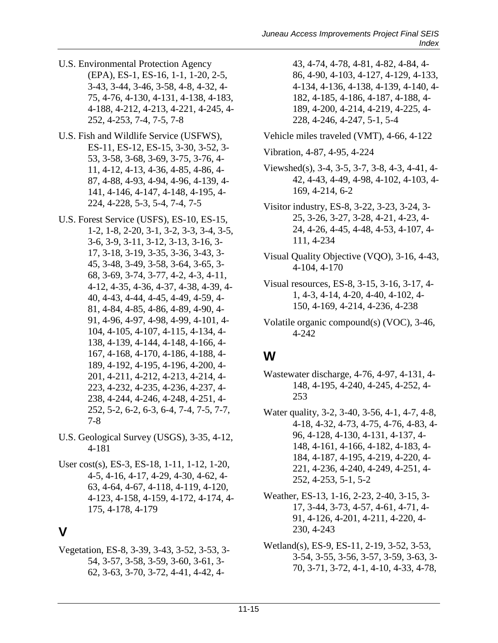- U.S. Environmental Protection Agency (EPA), ES-1, ES-16, 1-1, 1-20, 2-5, 3-43, 3-44, 3-46, 3-58, 4-8, 4-32, 4- 75, 4-76, 4-130, 4-131, 4-138, 4-183, 4-188, 4-212, 4-213, 4-221, 4-245, 4- 252, 4-253, 7-4, 7-5, 7-8
- U.S. Fish and Wildlife Service (USFWS), ES-11, ES-12, ES-15, 3-30, 3-52, 3- 53, 3-58, 3-68, 3-69, 3-75, 3-76, 4- 11, 4-12, 4-13, 4-36, 4-85, 4-86, 4- 87, 4-88, 4-93, 4-94, 4-96, 4-139, 4- 141, 4-146, 4-147, 4-148, 4-195, 4- 224, 4-228, 5-3, 5-4, 7-4, 7-5
- U.S. Forest Service (USFS), ES-10, ES-15, 1-2, 1-8, 2-20, 3-1, 3-2, 3-3, 3-4, 3-5, 3-6, 3-9, 3-11, 3-12, 3-13, 3-16, 3- 17, 3-18, 3-19, 3-35, 3-36, 3-43, 3- 45, 3-48, 3-49, 3-58, 3-64, 3-65, 3- 68, 3-69, 3-74, 3-77, 4-2, 4-3, 4-11, 4-12, 4-35, 4-36, 4-37, 4-38, 4-39, 4- 40, 4-43, 4-44, 4-45, 4-49, 4-59, 4- 81, 4-84, 4-85, 4-86, 4-89, 4-90, 4- 91, 4-96, 4-97, 4-98, 4-99, 4-101, 4- 104, 4-105, 4-107, 4-115, 4-134, 4- 138, 4-139, 4-144, 4-148, 4-166, 4- 167, 4-168, 4-170, 4-186, 4-188, 4- 189, 4-192, 4-195, 4-196, 4-200, 4- 201, 4-211, 4-212, 4-213, 4-214, 4- 223, 4-232, 4-235, 4-236, 4-237, 4- 238, 4-244, 4-246, 4-248, 4-251, 4- 252, 5-2, 6-2, 6-3, 6-4, 7-4, 7-5, 7-7, 7-8
- U.S. Geological Survey (USGS), 3-35, 4-12, 4-181
- User cost(s), ES-3, ES-18, 1-11, 1-12, 1-20, 4-5, 4-16, 4-17, 4-29, 4-30, 4-62, 4- 63, 4-64, 4-67, 4-118, 4-119, 4-120, 4-123, 4-158, 4-159, 4-172, 4-174, 4- 175, 4-178, 4-179

#### **V**

Vegetation, ES-8, 3-39, 3-43, 3-52, 3-53, 3- 54, 3-57, 3-58, 3-59, 3-60, 3-61, 3- 62, 3-63, 3-70, 3-72, 4-41, 4-42, 4-

- 43, 4-74, 4-78, 4-81, 4-82, 4-84, 4- 86, 4-90, 4-103, 4-127, 4-129, 4-133, 4-134, 4-136, 4-138, 4-139, 4-140, 4- 182, 4-185, 4-186, 4-187, 4-188, 4- 189, 4-200, 4-214, 4-219, 4-225, 4- 228, 4-246, 4-247, 5-1, 5-4
- Vehicle miles traveled (VMT), 4-66, 4-122
- Vibration, 4-87, 4-95, 4-224
- Viewshed(s), 3-4, 3-5, 3-7, 3-8, 4-3, 4-41, 4- 42, 4-43, 4-49, 4-98, 4-102, 4-103, 4- 169, 4-214, 6-2
- Visitor industry, ES-8, 3-22, 3-23, 3-24, 3- 25, 3-26, 3-27, 3-28, 4-21, 4-23, 4- 24, 4-26, 4-45, 4-48, 4-53, 4-107, 4- 111, 4-234
- Visual Quality Objective (VQO), 3-16, 4-43, 4-104, 4-170
- Visual resources, ES-8, 3-15, 3-16, 3-17, 4- 1, 4-3, 4-14, 4-20, 4-40, 4-102, 4- 150, 4-169, 4-214, 4-236, 4-238
- Volatile organic compound(s) (VOC), 3-46, 4-242

#### **W**

- Wastewater discharge, 4-76, 4-97, 4-131, 4- 148, 4-195, 4-240, 4-245, 4-252, 4- 253
- Water quality, 3-2, 3-40, 3-56, 4-1, 4-7, 4-8, 4-18, 4-32, 4-73, 4-75, 4-76, 4-83, 4- 96, 4-128, 4-130, 4-131, 4-137, 4- 148, 4-161, 4-166, 4-182, 4-183, 4- 184, 4-187, 4-195, 4-219, 4-220, 4- 221, 4-236, 4-240, 4-249, 4-251, 4- 252, 4-253, 5-1, 5-2
- Weather, ES-13, 1-16, 2-23, 2-40, 3-15, 3- 17, 3-44, 3-73, 4-57, 4-61, 4-71, 4- 91, 4-126, 4-201, 4-211, 4-220, 4- 230, 4-243
- Wetland(s), ES-9, ES-11, 2-19, 3-52, 3-53, 3-54, 3-55, 3-56, 3-57, 3-59, 3-63, 3- 70, 3-71, 3-72, 4-1, 4-10, 4-33, 4-78,